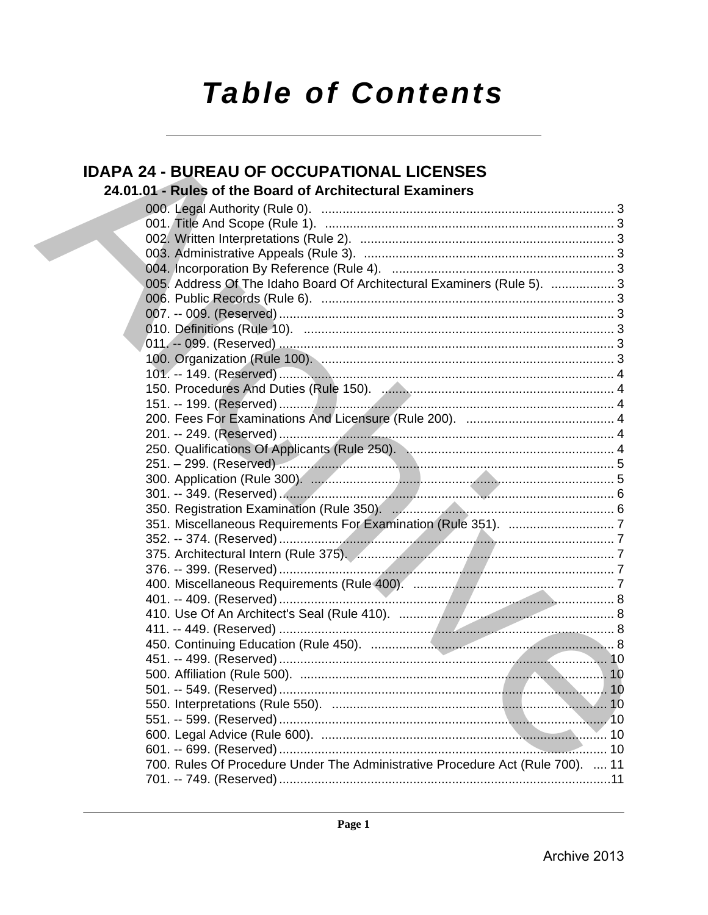# **Table of Contents**

# **IDAPA 24 - BUREAU OF OCCUPATIONAL LICENSES**

# 24.01.01 - Rules of the Board of Architectural Examiners

| 005. Address Of The Idaho Board Of Architectural Examiners (Rule 5).  3        |  |
|--------------------------------------------------------------------------------|--|
|                                                                                |  |
|                                                                                |  |
|                                                                                |  |
|                                                                                |  |
|                                                                                |  |
|                                                                                |  |
|                                                                                |  |
|                                                                                |  |
|                                                                                |  |
|                                                                                |  |
|                                                                                |  |
|                                                                                |  |
|                                                                                |  |
|                                                                                |  |
|                                                                                |  |
|                                                                                |  |
|                                                                                |  |
|                                                                                |  |
|                                                                                |  |
|                                                                                |  |
|                                                                                |  |
|                                                                                |  |
|                                                                                |  |
|                                                                                |  |
|                                                                                |  |
|                                                                                |  |
|                                                                                |  |
|                                                                                |  |
|                                                                                |  |
|                                                                                |  |
|                                                                                |  |
| 700. Rules Of Procedure Under The Administrative Procedure Act (Rule 700).  11 |  |
|                                                                                |  |
|                                                                                |  |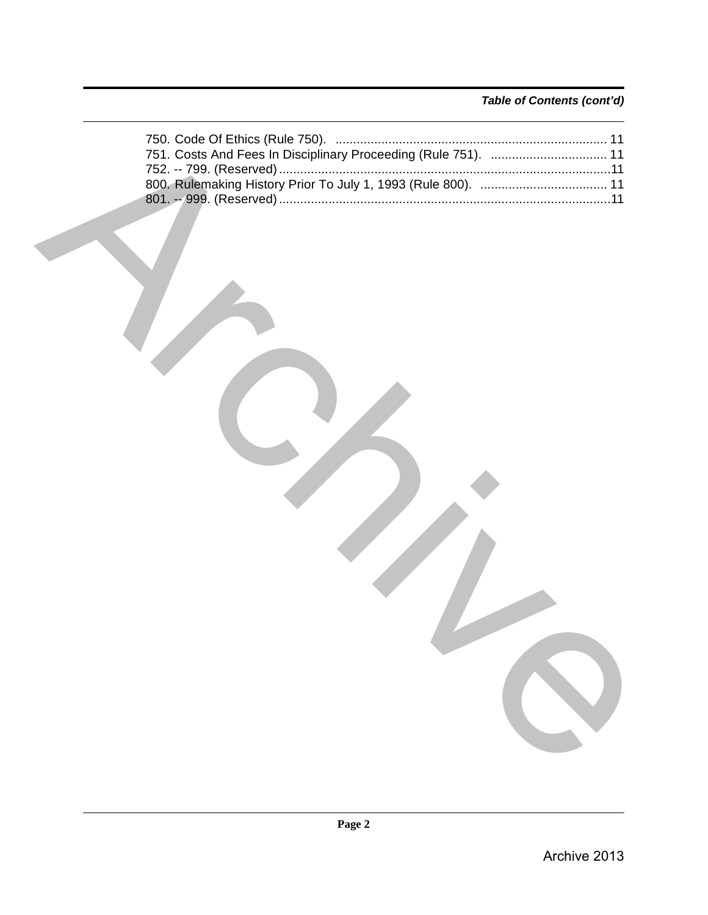### *Table of Contents (cont'd)*

| 751. Costs And Fees In Disciplinary Proceeding (Rule 751).  11 |
|----------------------------------------------------------------|
|                                                                |
|                                                                |
|                                                                |
|                                                                |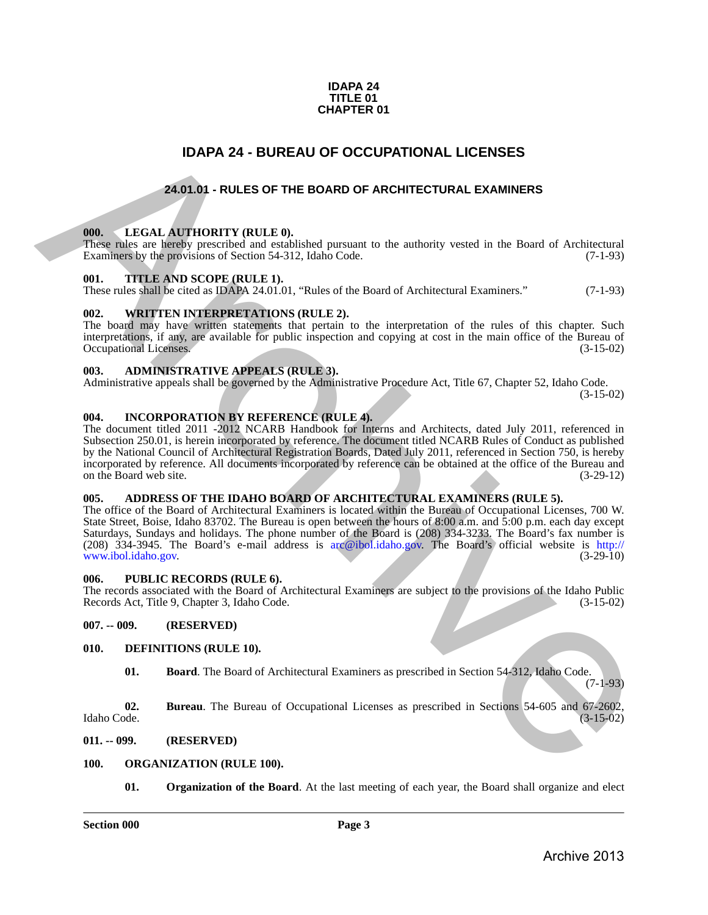#### **IDAPA 24 TITLE 01 CHAPTER 01**

## **IDAPA 24 - BUREAU OF OCCUPATIONAL LICENSES**

### **24.01.01 - RULES OF THE BOARD OF ARCHITECTURAL EXAMINERS**

#### <span id="page-2-2"></span><span id="page-2-1"></span>**000. LEGAL AUTHORITY (RULE 0).**

These rules are hereby prescribed and established pursuant to the authority vested in the Board of Architectural Examiners by the provisions of Section 54-312, Idaho Code. (7-1-93) Examiners by the provisions of Section 54-312, Idaho Code.

#### <span id="page-2-3"></span>**001. TITLE AND SCOPE (RULE 1).**

These rules shall be cited as IDAPA 24.01.01, "Rules of the Board of Architectural Examiners." (7-1-93)

#### <span id="page-2-4"></span>**002. WRITTEN INTERPRETATIONS (RULE 2).**

The board may have written statements that pertain to the interpretation of the rules of this chapter. Such interpretations, if any, are available for public inspection and copying at cost in the main office of the Bureau of Occupational Licenses.

#### <span id="page-2-5"></span>**003. ADMINISTRATIVE APPEALS (RULE 3).**

Administrative appeals shall be governed by the Administrative Procedure Act, Title 67, Chapter 52, Idaho Code.

(3-15-02)

### <span id="page-2-6"></span>**004. INCORPORATION BY REFERENCE (RULE 4).**

<span id="page-2-0"></span>The document titled 2011 -2012 NCARB Handbook for Interns and Architects, dated July 2011, referenced in Subsection 250.01, is herein incorporated by reference. The document titled NCARB Rules of Conduct as published by the National Council of Architectural Registration Boards, Dated July 2011, referenced in Section 750, is hereby incorporated by reference. All documents incorporated by reference can be obtained at the office of the Bureau and on the Board web site. **IDAPA 24 - BUREAU OF OCCUPATIONAL LICENSES**<br>
24.01.01 - RULES OF THE BOARD OF ARCHITECTURAL EXAMINERS<br>
24.01.01 - RULES OF THE BOARD OF ARCHITECTURAL EXAMINERS<br>
100. THE CAL AUTHORITY (RULE 0).<br>
The Same as 1980 provided

#### <span id="page-2-7"></span>**005. ADDRESS OF THE IDAHO BOARD OF ARCHITECTURAL EXAMINERS (RULE 5).**

The office of the Board of Architectural Examiners is located within the Bureau of Occupational Licenses, 700 W. State Street, Boise, Idaho 83702. The Bureau is open between the hours of 8:00 a.m. and 5:00 p.m. each day except Saturdays, Sundays and holidays. The phone number of the Board is (208) 334-3233. The Board's fax number is (208) 334-3945. The Board's e-mail address is arc@ibol.idaho.gov. The Board's official website is http:// www.ibol.idaho.gov.

#### <span id="page-2-8"></span>**006. PUBLIC RECORDS (RULE 6).**

The records associated with the Board of Architectural Examiners are subject to the provisions of the Idaho Public Records Act, Title 9, Chapter 3, Idaho Code. (3-15-02) Records Act, Title 9, Chapter 3, Idaho Code.

<span id="page-2-9"></span>**007. -- 009. (RESERVED)**

#### <span id="page-2-10"></span>**010. DEFINITIONS (RULE 10).**

<span id="page-2-15"></span><span id="page-2-14"></span><span id="page-2-13"></span>**01. Board**. The Board of Architectural Examiners as prescribed in Section 54-312, Idaho Code. (7-1-93)

**02.** Bureau. The Bureau of Occupational Licenses as prescribed in Sections 54-605 and 67-2602, Idaho Code. (3-15-02) Idaho Code. (3-15-02)

#### <span id="page-2-11"></span>**011. -- 099. (RESERVED)**

#### <span id="page-2-12"></span>**100. ORGANIZATION (RULE 100).**

<span id="page-2-17"></span><span id="page-2-16"></span>**01.** Organization of the Board. At the last meeting of each year, the Board shall organize and elect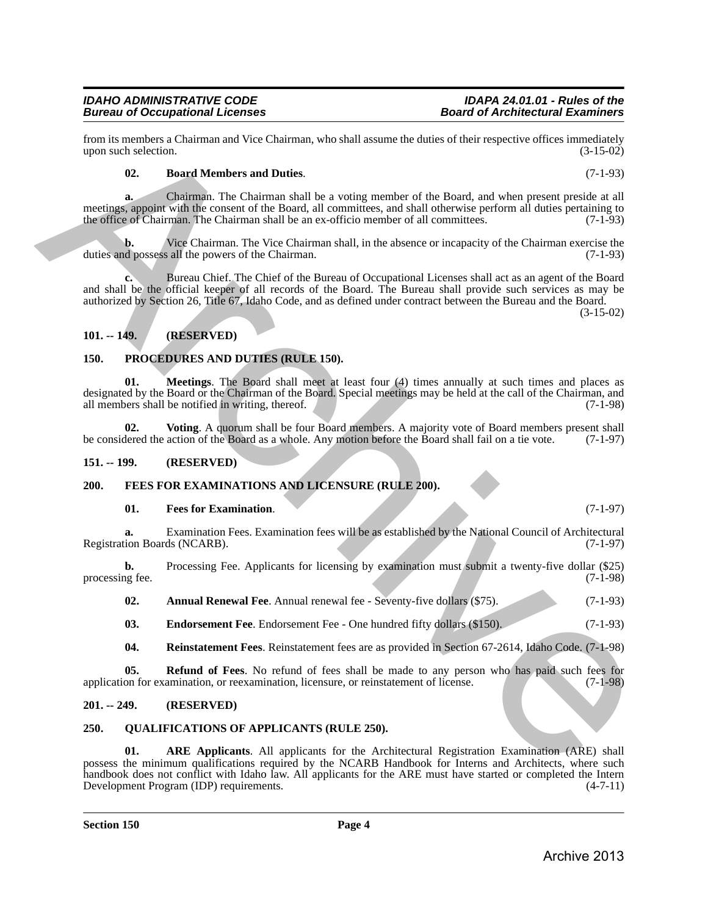# *IDAHO ADMINISTRATIVE CODE IDAPA 24.01.01 - Rules of the Bureau of Occupational Licenses*

from its members a Chairman and Vice Chairman, who shall assume the duties of their respective offices immediately<br>(3-15-02) (3-15-02) upon such selection.

#### <span id="page-3-12"></span>**02. Board Members and Duties**. (7-1-93)

**a.** Chairman. The Chairman shall be a voting member of the Board, and when present preside at all meetings, appoint with the consent of the Board, all committees, and shall otherwise perform all duties pertaining to the office of Chairman. The Chairman shall be an ex-officio member of all committees. (7-1-93)

Vice Chairman. The Vice Chairman shall, in the absence or incapacity of the Chairman exercise the sall the powers of the Chairman. duties and possess all the powers of the Chairman.

**c.** Bureau Chief. The Chief of the Bureau of Occupational Licenses shall act as an agent of the Board and shall be the official keeper of all records of the Board. The Bureau shall provide such services as may be authorized by Section 26, Title 67, Idaho Code, and as defined under contract between the Bureau and the Board.

(3-15-02)

#### <span id="page-3-0"></span>**101. -- 149. (RESERVED)**

#### <span id="page-3-14"></span><span id="page-3-13"></span><span id="page-3-1"></span>**150. PROCEDURES AND DUTIES (RULE 150).**

**01. Meetings**. The Board shall meet at least four (4) times annually at such times and places as designated by the Board or the Chairman of the Board. Special meetings may be held at the call of the Chairman, and all members shall be notified in writing, thereof. (7-1-98) all members shall be notified in writing, thereof. form is considered. Characteristics and Detect Universe which is some the distinction (2-13)<br>
(2-13) Bond Members and Detects and Detects and Detects and Detects and Detects and Detects and Detects and Detects and Detects

<span id="page-3-15"></span>**02.** Voting. A quorum shall be four Board members. A majority vote of Board members present shall level the action of the Board as a whole. Any motion before the Board shall fail on a tie vote. (7-1-97) be considered the action of the Board as a whole. Any motion before the Board shall fail on a tie vote.

#### <span id="page-3-2"></span>**151. -- 199. (RESERVED)**

#### <span id="page-3-3"></span>**200. FEES FOR EXAMINATIONS AND LICENSURE (RULE 200).**

#### <span id="page-3-9"></span><span id="page-3-6"></span>**01.** Fees for Examination. (7-1-97)

**a.** Examination Fees. Examination fees will be as established by the National Council of Architectural con Boards (NCARB). (7-1-97) Registration Boards (NCARB).

**b.** Processing Fee. Applicants for licensing by examination must submit a twenty-five dollar (\$25) processing fee. (7-1-98)

<span id="page-3-8"></span><span id="page-3-7"></span>**02.** Annual Renewal Fee. Annual renewal fee - Seventy-five dollars (\$75). (7-1-93)

**03.** Endorsement Fee. Endorsement Fee - One hundred fifty dollars (\$150). (7-1-93)

<span id="page-3-11"></span><span id="page-3-10"></span>**04. Reinstatement Fees**. Reinstatement fees are as provided in Section 67-2614, Idaho Code. (7-1-98)

**05. Refund of Fees**. No refund of fees shall be made to any person who has paid such fees for application for examination, or reexamination, licensure, or reinstatement of license. (7-1-98)

#### <span id="page-3-4"></span>**201. -- 249. (RESERVED)**

#### <span id="page-3-16"></span><span id="page-3-5"></span>**250. QUALIFICATIONS OF APPLICANTS (RULE 250).**

<span id="page-3-17"></span>**01. ARE Applicants**. All applicants for the Architectural Registration Examination (ARE) shall possess the minimum qualifications required by the NCARB Handbook for Interns and Architects, where such handbook does not conflict with Idaho law. All applicants for the ARE must have started or completed the Intern<br>Development Program (IDP) requirements. (4-7-11) Development Program (IDP) requirements.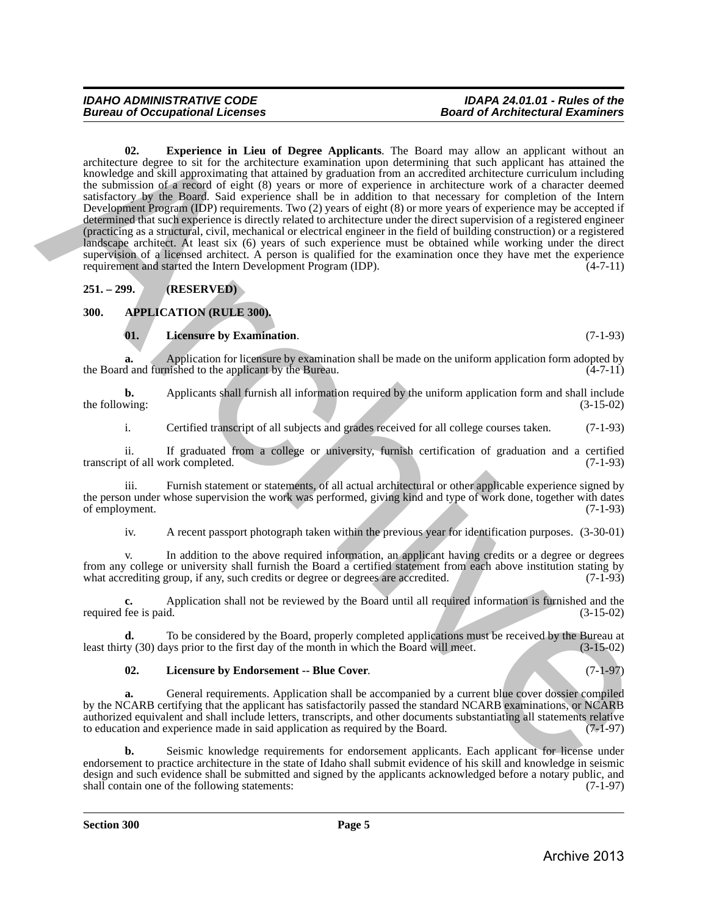# <span id="page-4-5"></span>*IDAHO ADMINISTRATIVE CODE IDAPA 24.01.01 - Rules of the*

**02. Experience in Lieu of Degree Applicants**. The Board may allow an applicant without an architecture degree to sit for the architecture examination upon determining that such applicant has attained the knowledge and skill approximating that attained by graduation from an accredited architecture curriculum including the submission of a record of eight (8) years or more of experience in architecture work of a character deemed satisfactory by the Board. Said experience shall be in addition to that necessary for completion of the Intern Development Program (IDP) requirements. Two (2) years of eight (8) or more years of experience may be accepted if determined that such experience is directly related to architecture under the direct supervision of a registered engineer (practicing as a structural, civil, mechanical or electrical engineer in the field of building construction) or a registered landscape architect. At least six (6) years of such experience must be obtained while working under the direct supervision of a licensed architect. A person is qualified for the examination once they have met the experience requirement and started the Intern Development Program (IDP). (4-7-11) requirement and started the Intern Development Program (IDP). architecture in Lieu of Depress in the same of Applicants. The Boxel may allow an applicant without an<br>Exception and approximate the control of production from the acceleroids of a<br>chiracometric production and the same of

<span id="page-4-0"></span>**251. – 299. (RESERVED)**

#### <span id="page-4-1"></span>**300. APPLICATION (RULE 300).**

#### <span id="page-4-4"></span><span id="page-4-2"></span>**01. Licensure by Examination**. (7-1-93)

**a.** Application for licensure by examination shall be made on the uniform application form adopted by d and furnished to the applicant by the Bureau. (4-7-11) the Board and furnished to the applicant by the Bureau.

**b.** Applicants shall furnish all information required by the uniform application form and shall include wing: (3-15-02) the following:

i. Certified transcript of all subjects and grades received for all college courses taken. (7-1-93)

ii. If graduated from a college or university, furnish certification of graduation and a certified transcript of all work completed.

iii. Furnish statement or statements, of all actual architectural or other applicable experience signed by the person under whose supervision the work was performed, giving kind and type of work done, together with dates of employment. (7-1-93)

iv. A recent passport photograph taken within the previous year for identification purposes. (3-30-01)

v. In addition to the above required information, an applicant having credits or a degree or degrees from any college or university shall furnish the Board a certified statement from each above institution stating by what accrediting group, if any, such credits or degree or degrees are accredited. (7-1-93) (7-1-93)

**c.** Application shall not be reviewed by the Board until all required information is furnished and the required fee is paid. (3-15-02)

**d.** To be considered by the Board, properly completed applications must be received by the Bureau at ty (30) days prior to the first day of the month in which the Board will meet.  $(3-15-02)$ least thirty (30) days prior to the first day of the month in which the Board will meet.

#### <span id="page-4-3"></span>**02. Licensure by Endorsement -- Blue Cover**. (7-1-97)

**a.** General requirements. Application shall be accompanied by a current blue cover dossier compiled by the NCARB certifying that the applicant has satisfactorily passed the standard NCARB examinations, or NCARB authorized equivalent and shall include letters, transcripts, and other documents substantiating all statements relative to education and experience made in said application as required by the Board. (7-1-97)

**b.** Seismic knowledge requirements for endorsement applicants. Each applicant for license under endorsement to practice architecture in the state of Idaho shall submit evidence of his skill and knowledge in seismic design and such evidence shall be submitted and signed by the applicants acknowledged before a notary public, and shall contain one of the following statements: (7-1-97) shall contain one of the following statements: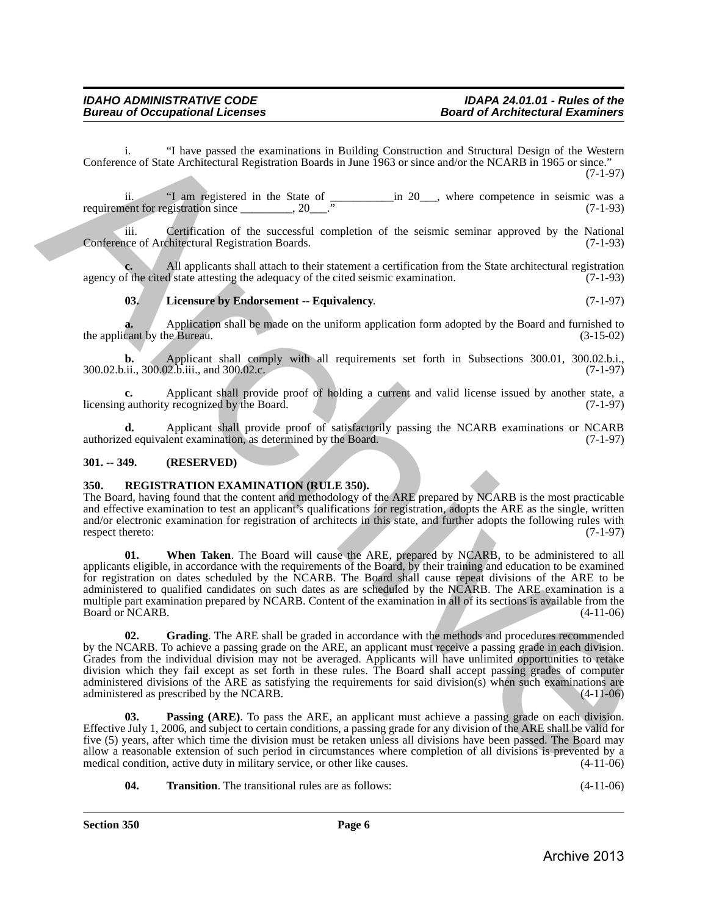i. "I have passed the examinations in Building Construction and Structural Design of the Western Conference of State Architectural Registration Boards in June 1963 or since and/or the NCARB in 1965 or since." (7-1-97)

ii. "I am registered in the State of \_\_\_\_\_\_\_\_\_\_\_in 20\_\_\_, where competence in seismic was a requirement for registration since  $\frac{1}{2}$ , 20 $\frac{1}{2}$ .  $\frac{1}{2}$  (7-1-93)

iii. Certification of the successful completion of the seismic seminar approved by the National Conference of Architectural Registration Boards. (7-1-93)

All applicants shall attach to their statement a certification from the State architectural registration d state attesting the adequacy of the cited seismic examination. (7-1-93) agency of the cited state attesting the adequacy of the cited seismic examination.

#### <span id="page-5-2"></span>**03. Licensure by Endorsement -- Equivalency**. (7-1-97)

**a.** Application shall be made on the uniform application form adopted by the Board and furnished to cant by the Bureau. (3-15-02) the applicant by the Bureau.

**b.** Applicant shall comply with all requirements set forth in Subsections 300.01, 300.02.b.i., <br>ii., 300.02.b.iii., and 300.02.c. 300.02.b.ii., 300.02.b.iii., and 300.02.c.

**c.** Applicant shall provide proof of holding a current and valid license issued by another state, a cauthority recognized by the Board. (7-1-97) licensing authority recognized by the Board.

**d.** Applicant shall provide proof of satisfactorily passing the NCARB examinations or NCARB ed equivalent examination, as determined by the Board. (7-1-97) authorized equivalent examination, as determined by the Board.

#### <span id="page-5-0"></span>**301. -- 349. (RESERVED)**

#### <span id="page-5-3"></span><span id="page-5-1"></span>**350. REGISTRATION EXAMINATION (RULE 350).**

<span id="page-5-7"></span>The Board, having found that the content and methodology of the ARE prepared by NCARB is the most practicable and effective examination to test an applicant's qualifications for registration, adopts the ARE as the single, written and/or electronic examination for registration of architects in this state, and further adopts the following rules with respect thereto: (7-1-97) respect thereto:

**01. When Taken**. The Board will cause the ARE, prepared by NCARB, to be administered to all applicants eligible, in accordance with the requirements of the Board, by their training and education to be examined for registration on dates scheduled by the NCARB. The Board shall cause repeat divisions of the ARE to be administered to qualified candidates on such dates as are scheduled by the NCARB. The ARE examination is a multiple part examination prepared by NCARB. Content of the examination in all of its sections is available from the Board or NCARB. (4-11-06) Continuous of Nata Archives and the examinations in Bulking Construction and Structural Region of the Western<br>
Structural line of the Structural line of the structure and the structure of the structure of the structure of

<span id="page-5-4"></span>**02. Grading**. The ARE shall be graded in accordance with the methods and procedures recommended by the NCARB. To achieve a passing grade on the ARE, an applicant must receive a passing grade in each division. Grades from the individual division may not be averaged. Applicants will have unlimited opportunities to retake division which they fail except as set forth in these rules. The Board shall accept passing grades of computer administered divisions of the ARE as satisfying the requirements for said division(s) when such examinations are administered as prescribed by the NCARB. (4-11-06) administered as prescribed by the NCARB.

<span id="page-5-5"></span>**03. Passing (ARE)**. To pass the ARE, an applicant must achieve a passing grade on each division. Effective July 1, 2006, and subject to certain conditions, a passing grade for any division of the ARE shall be valid for five (5) years, after which time the division must be retaken unless all divisions have been passed. The Board may allow a reasonable extension of such period in circumstances where completion of all divisions is prevented by a medical condition, active duty in military service, or other like causes. (4-11-06) medical condition, active duty in military service, or other like causes.

<span id="page-5-6"></span>**04. Transition**. The transitional rules are as follows: (4-11-06)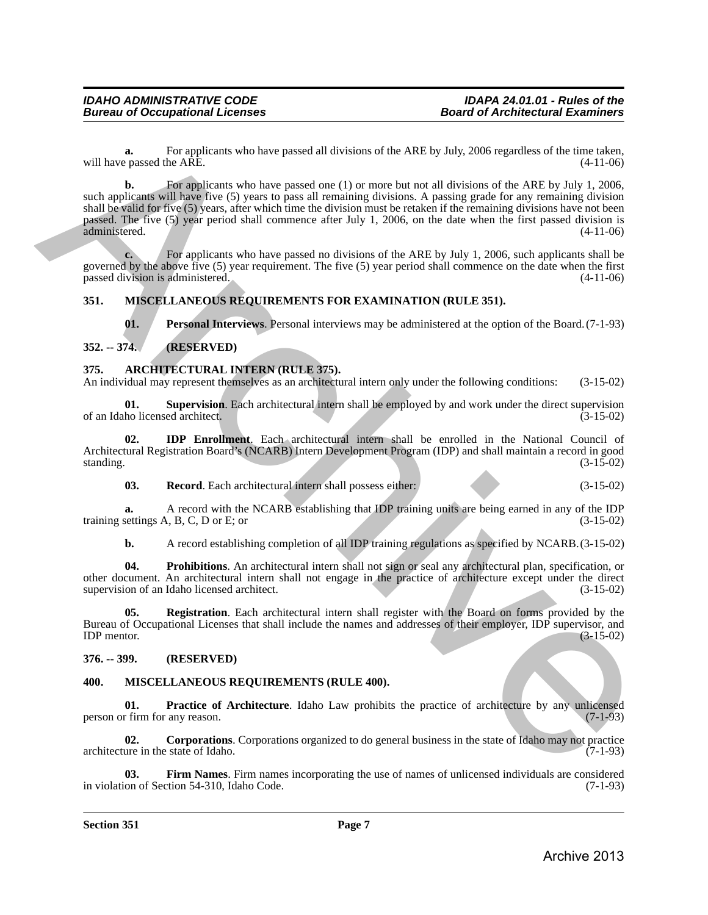**a.** For applicants who have passed all divisions of the ARE by July, 2006 regardless of the time taken, proposed the ARE.  $(4-11-06)$ will have passed the ARE.

**b.** For applicants who have passed one (1) or more but not all divisions of the ARE by July 1, 2006, such applicants will have five (5) years to pass all remaining divisions. A passing grade for any remaining division shall be valid for five (5) years, after which time the division must be retaken if the remaining divisions have not been passed. The five (5) year period shall commence after July 1, 2006, on the date when the first passed division is administered. (4-11-06) administered. (4-11-06) will have passed the relations who have proced all divisions of the ARE by Joby 2006 regardes of the tries than<br>
such applications who have passed one (1) or more lest not all divisions of the ARE by Joby 1, 2006,<br>
such a

**c.** For applicants who have passed no divisions of the ARE by July 1, 2006, such applicants shall be governed by the above five (5) year requirement. The five (5) year period shall commence on the date when the first passed division is administered. passed division is administered.

#### <span id="page-6-0"></span>**351. MISCELLANEOUS REQUIREMENTS FOR EXAMINATION (RULE 351).**

<span id="page-6-15"></span><span id="page-6-14"></span><span id="page-6-9"></span><span id="page-6-5"></span>**01. Personal Interviews**. Personal interviews may be administered at the option of the Board.(7-1-93)

#### <span id="page-6-1"></span>**352. -- 374. (RESERVED)**

#### <span id="page-6-2"></span>**375. ARCHITECTURAL INTERN (RULE 375).**

An individual may represent themselves as an architectural intern only under the following conditions: (3-15-02)

**01. Supervision**. Each architectural intern shall be employed by and work under the direct supervision of an Idaho licensed architect. (3-15-02)

**02. IDP Enrollment**. Each architectural intern shall be enrolled in the National Council of Architectural Registration Board's (NCARB) Intern Development Program (IDP) and shall maintain a record in good standing. (3-15-02)

<span id="page-6-8"></span><span id="page-6-6"></span>**03. Record**. Each architectural intern shall possess either: (3-15-02)

**a.** A record with the NCARB establishing that IDP training units are being earned in any of the IDP training settings A, B, C, D or E; or  $(3-15-02)$ 

<span id="page-6-7"></span>**b.** A record establishing completion of all IDP training regulations as specified by NCARB. (3-15-02)

**04. Prohibitions**. An architectural intern shall not sign or seal any architectural plan, specification, or other document. An architectural intern shall not engage in the practice of architecture except under the direct supervision of an Idaho licensed architect.

**05. Registration**. Each architectural intern shall register with the Board on forms provided by the Bureau of Occupational Licenses that shall include the names and addresses of their employer, IDP supervisor, and IDP mentor. (3-15-02) IDP mentor.  $(3-15-02)$ 

#### <span id="page-6-3"></span>**376. -- 399. (RESERVED)**

#### <span id="page-6-10"></span><span id="page-6-4"></span>**400. MISCELLANEOUS REQUIREMENTS (RULE 400).**

<span id="page-6-13"></span>**01. Practice of Architecture**. Idaho Law prohibits the practice of architecture by any unlicensed r firm for any reason. (7-1-93) person or firm for any reason.

<span id="page-6-11"></span>**02. Corporations**. Corporations organized to do general business in the state of Idaho may not practice ure in the state of Idaho. (7-1-93) architecture in the state of Idaho.

<span id="page-6-12"></span>**Firm Names**. Firm names incorporating the use of names of unlicensed individuals are considered tion 54-310, Idaho Code. (7-1-93) in violation of Section 54-310, Idaho Code.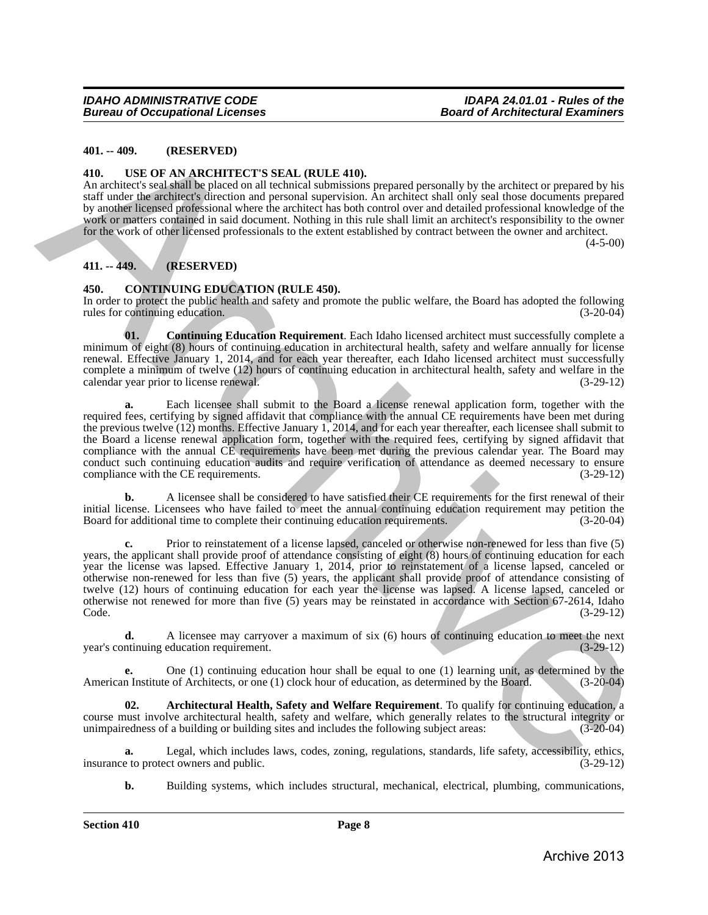#### <span id="page-7-0"></span>**401. -- 409. (RESERVED)**

#### <span id="page-7-7"></span><span id="page-7-1"></span>**410. USE OF AN ARCHITECT'S SEAL (RULE 410).**

An architect's seal shall be placed on all technical submissions prepared personally by the architect or prepared by his staff under the architect's direction and personal supervision. An architect shall only seal those documents prepared by another licensed professional where the architect has both control over and detailed professional knowledge of the work or matters contained in said document. Nothing in this rule shall limit an architect's responsibility to the owner for the work of other licensed professionals to the extent established by contract between the owner and architect.  $(4-5-00)$ 

<span id="page-7-2"></span>**411. -- 449. (RESERVED)**

#### <span id="page-7-4"></span><span id="page-7-3"></span>**450. CONTINUING EDUCATION (RULE 450).**

In order to protect the public health and safety and promote the public welfare, the Board has adopted the following rules for continuing education. (3-20-04) rules for continuing education.

<span id="page-7-6"></span>**01. Continuing Education Requirement**. Each Idaho licensed architect must successfully complete a minimum of eight (8) hours of continuing education in architectural health, safety and welfare annually for license renewal. Effective January 1, 2014, and for each year thereafter, each Idaho licensed architect must successfully complete a minimum of twelve (12) hours of continuing education in architectural health, safety and welfare in the calendar vear prior to license renewal. (3-29-12) calendar year prior to license renewal.

**a.** Each licensee shall submit to the Board a license renewal application form, together with the required fees, certifying by signed affidavit that compliance with the annual CE requirements have been met during the previous twelve (12) months. Effective January 1, 2014, and for each year thereafter, each licensee shall submit to the Board a license renewal application form, together with the required fees, certifying by signed affidavit that compliance with the annual CE requirements have been met during the previous calendar year. The Board may conduct such continuing education audits and require verification of attendance as deemed necessary to ensure<br>compliance with the CE requirements. (3-29-12) compliance with the CE requirements. 40. ... 499. (RESERVEN)<br>
146. ... (RESERVEN)<br>
146. The CE OF AN ARCHIVE CTS SEAL RULE 410.<br>
146. SE OF AN ARCHIVE CONSUL AND ARCHIVE ARCHIVE CONSULTION (SURVEY) THE MAIN CONSULTION (SURVEY) THE CONSULTION OF THE CONSULTIO

**b.** A licensee shall be considered to have satisfied their CE requirements for the first renewal of their initial license. Licensees who have failed to meet the annual continuing education requirement may petition the Board for additional time to complete their continuing education requirements. (3-20-04)

**c.** Prior to reinstatement of a license lapsed, canceled or otherwise non-renewed for less than five (5) years, the applicant shall provide proof of attendance consisting of eight (8) hours of continuing education for each year the license was lapsed. Effective January 1, 2014, prior to reinstatement of a license lapsed, canceled or otherwise non-renewed for less than five (5) years, the applicant shall provide proof of attendance consisting of twelve (12) hours of continuing education for each year the license was lapsed. A license lapsed, canceled or otherwise not renewed for more than five (5) years may be reinstated in accordance with Section 67-2614, Idaho Code. (3-29-12)

**d.** A licensee may carryover a maximum of six (6) hours of continuing education to meet the next ntinuing education requirement. (3-29-12) year's continuing education requirement.

**e.** One (1) continuing education hour shall be equal to one (1) learning unit, as determined by the American Institute of Architects, or one (1) clock hour of education, as determined by the Board. (3-20-04)

<span id="page-7-5"></span>**02. Architectural Health, Safety and Welfare Requirement**. To qualify for continuing education, a course must involve architectural health, safety and welfare, which generally relates to the structural integrity or unimpairedness of a building or building sites and includes the following subject areas: (3-20-04)

**a.** Legal, which includes laws, codes, zoning, regulations, standards, life safety, accessibility, ethics, eto protect owners and public. (3-29-12) insurance to protect owners and public.

**b.** Building systems, which includes structural, mechanical, electrical, plumbing, communications,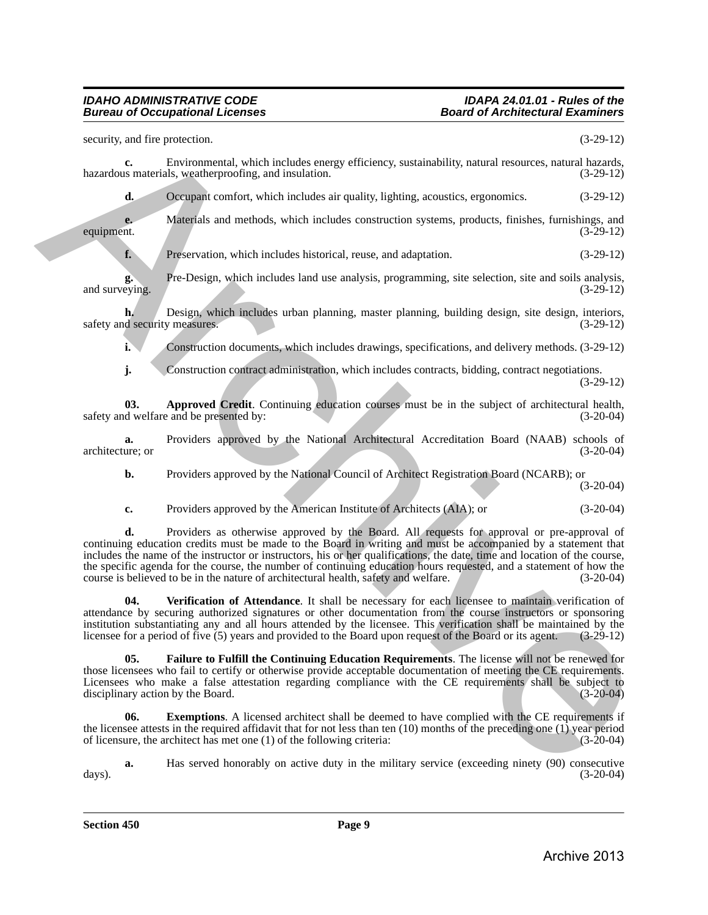#### *IDAHO ADMINISTRATIVE CODE IDAPA 24.01.01 - Rules of the Bureau of Occupational Licenses*

security, and fire protection. (3-29-12) **c.** Environmental, which includes energy efficiency, sustainability, natural resources, natural hazards, is materials, weatherproofing, and insulation. (3-29-12) hazardous materials, weatherproofing, and insulation. **d.** Occupant comfort, which includes air quality, lighting, acoustics, ergonomics. (3-29-12) **e.** Materials and methods, which includes construction systems, products, finishes, furnishings, and the (3-29-12) equipment. (3-29-12) **f.** Preservation, which includes historical, reuse, and adaptation. (3-29-12) **g.** Pre-Design, which includes land use analysis, programming, site selection, site and soils analysis, and surveying. **h.** Design, which includes urban planning, master planning, building design, site design, interiors, d security measures. (3-29-12) safety and security measures. **i.** Construction documents, which includes drawings, specifications, and delivery methods. (3-29-12) **j.** Construction contract administration, which includes contracts, bidding, contract negotiations. (3-29-12) **03. Approved Credit**. Continuing education courses must be in the subject of architectural health, d welfare and be presented by: (3-20-04) safety and welfare and be presented by: **a.** Providers approved by the National Architectural Accreditation Board (NAAB) schools of ure; or (3-20-04) architecture; or **b.** Providers approved by the National Council of Architect Registration Board (NCARB); or (3-20-04) **c.** Providers approved by the American Institute of Architects (AIA); or (3-20-04) **d.** Providers as otherwise approved by the Board. All requests for approval or pre-approval of continuing education credits must be made to the Board in writing and must be accompanied by a statement that includes the name of the instructor or instructors, his or her qualifications, the date, time and location of the course, the specific agenda for the course, the number of continuing education hours requested, and a statement of how the course is believed to be in the nature of architectural health, safety and welfare. (3-20-04) **04. Verification of Attendance**. It shall be necessary for each licensee to maintain verification of attendance by securing authorized signatures or other documentation from the course instructors or sponsoring institution substantiating any and all hours attended by the licensee. This verification shall be maintained by the licensee for a period of five (5) years and provided to the Board upon request of the Board or its agent. security, and the presentation.<br>
In the measurable formula splittering and arbitrarily relations, containablely, mixral securities, relations,<br>  $\Delta$  because in the control of the control of the splittering energy of the s

<span id="page-8-2"></span>**05. Failure to Fulfill the Continuing Education Requirements**. The license will not be renewed for those licensees who fail to certify or otherwise provide acceptable documentation of meeting the CE requirements. Licensees who make a false attestation regarding compliance with the CE requirements shall be subject to disciplinary action by the Board. (3-20-04)

<span id="page-8-3"></span><span id="page-8-0"></span>licensee for a period of five (5) years and provided to the Board upon request of the Board or its agent.

<span id="page-8-1"></span>**06.** Exemptions. A licensed architect shall be deemed to have complied with the CE requirements if the licensee attests in the required affidavit that for not less than ten (10) months of the preceding one (1) year period<br>of licensure, the architect has met one (1) of the following criteria: (3-20-04) of licensure, the architect has met one  $(1)$  of the following criteria:

**a.** Has served honorably on active duty in the military service (exceeding ninety (90) consecutive (3-20-04) days). (3-20-04)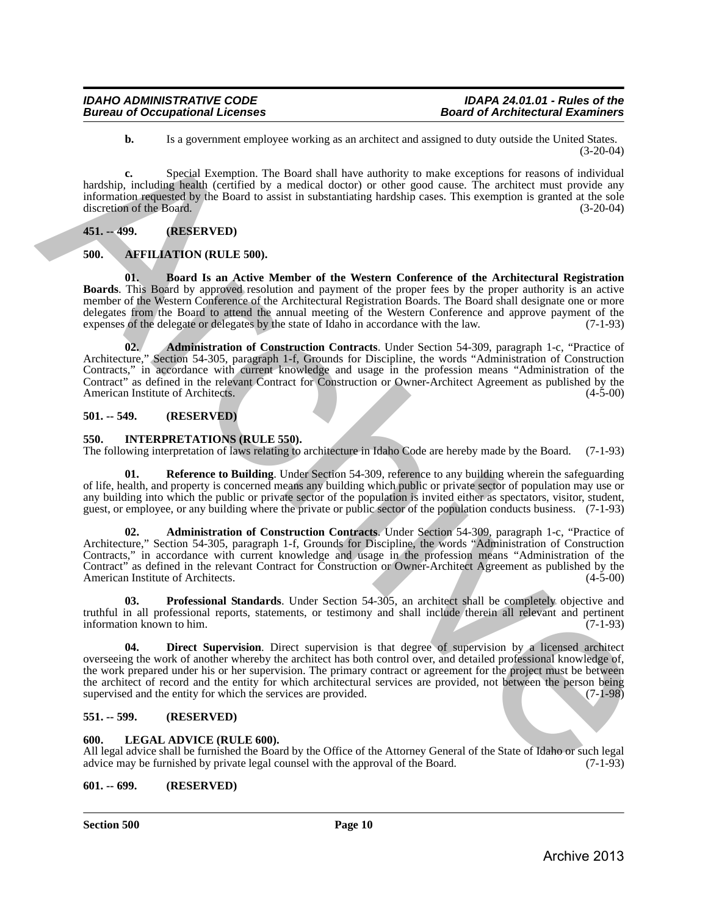**b.** Is a government employee working as an architect and assigned to duty outside the United States. (3-20-04)

**c.** Special Exemption. The Board shall have authority to make exceptions for reasons of individual hardship, including health (certified by a medical doctor) or other good cause. The architect must provide any information requested by the Board to assist in substantiating hardship cases. This exemption is granted at the sole discretion of the Board.

#### <span id="page-9-0"></span>**451. -- 499. (RESERVED)**

#### <span id="page-9-7"></span><span id="page-9-1"></span>**500. AFFILIATION (RULE 500).**

<span id="page-9-9"></span><span id="page-9-8"></span>**01. Board Is an Active Member of the Western Conference of the Architectural Registration Boards**. This Board by approved resolution and payment of the proper fees by the proper authority is an active member of the Western Conference of the Architectural Registration Boards. The Board shall designate one or more delegates from the Board to attend the annual meeting of the Western Conference and approve payment of the expenses of the delegate or delegates by the state of Idaho in accordance with the law. (7-1-93) expenses of the delegate or delegates by the state of Idaho in accordance with the law.

**02. Administration of Construction Contracts**. Under Section 54-309, paragraph 1-c, "Practice of Architecture," Section 54-305, paragraph 1-f, Grounds for Discipline, the words "Administration of Construction Contracts," in accordance with current knowledge and usage in the profession means "Administration of the Contract" as defined in the relevant Contract for Construction or Owner-Architect Agreement as published by the American Institute of Architects. **16.** Its a general environg so an archive and interest in data point in the second of a field in the second of the based of a field in the second of the based of a field in the second of the second of the second of the s

#### <span id="page-9-2"></span>**501. -- 549. (RESERVED)**

#### <span id="page-9-10"></span><span id="page-9-3"></span>**550. INTERPRETATIONS (RULE 550).**

The following interpretation of laws relating to architecture in Idaho Code are hereby made by the Board. (7-1-93)

<span id="page-9-12"></span>**01. Reference to Building**. Under Section 54-309, reference to any building wherein the safeguarding of life, health, and property is concerned means any building which public or private sector of population may use or any building into which the public or private sector of the population is invited either as spectators, visitor, student, guest, or employee, or any building where the private or public sector of the population conducts business. (7-1-93)

**02. Administration of Construction Contracts**. Under Section 54-309, paragraph 1-c, "Practice of Architecture," Section 54-305, paragraph 1-f, Grounds for Discipline, the words "Administration of Construction Contracts," in accordance with current knowledge and usage in the profession means "Administration of the Contract" as defined in the relevant Contract for Construction or Owner-Architect Agreement as published by the American Institute of Architects. (4-5-00)

<span id="page-9-11"></span>**03. Professional Standards**. Under Section 54-305, an architect shall be completely objective and truthful in all professional reports, statements, or testimony and shall include therein all relevant and pertinent information known to him. (7-1-93)

**04. Direct Supervision**. Direct supervision is that degree of supervision by a licensed architect overseeing the work of another whereby the architect has both control over, and detailed professional knowledge of, the work prepared under his or her supervision. The primary contract or agreement for the project must be between the architect of record and the entity for which architectural services are provided, not between the person being supervised and the entity for which the services are provided. (7-1-98) supervised and the entity for which the services are provided.

#### <span id="page-9-4"></span>**551. -- 599. (RESERVED)**

#### <span id="page-9-13"></span><span id="page-9-5"></span>**600. LEGAL ADVICE (RULE 600).**

All legal advice shall be furnished the Board by the Office of the Attorney General of the State of Idaho or such legal advice may be furnished by private legal counsel with the approval of the Board. (7-1-93) advice may be furnished by private legal counsel with the approval of the Board.

#### <span id="page-9-6"></span>**601. -- 699. (RESERVED)**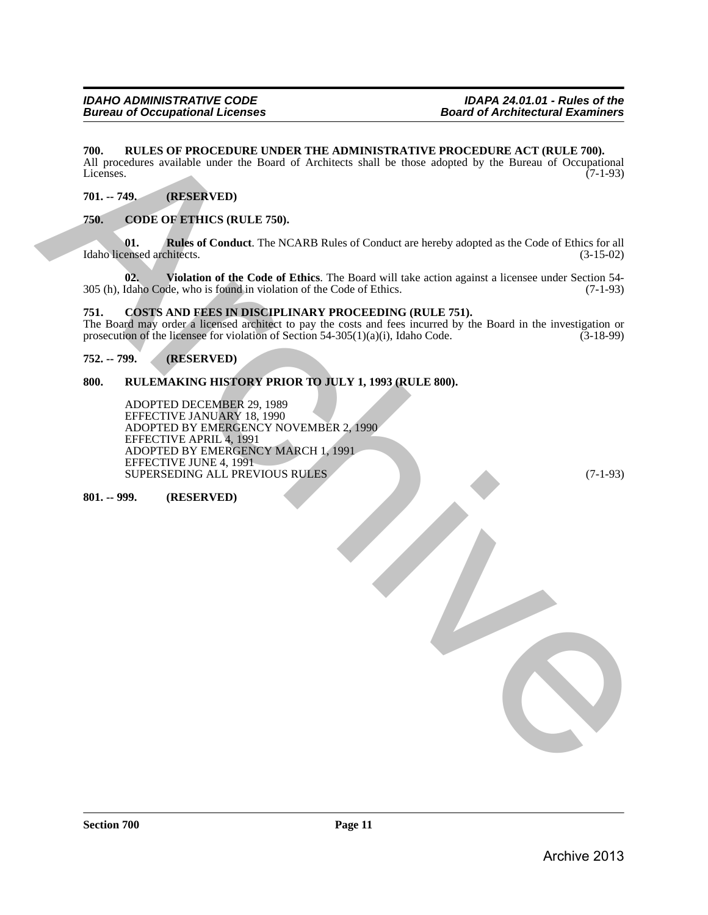#### <span id="page-10-0"></span>**700. RULES OF PROCEDURE UNDER THE ADMINISTRATIVE PROCEDURE ACT (RULE 700).**

All procedures available under the Board of Architects shall be those adopted by the Bureau of Occupational Licenses. (7-1-93) Licenses. (7-1-93)

#### <span id="page-10-1"></span>**701. -- 749. (RESERVED)**

#### <span id="page-10-7"></span><span id="page-10-2"></span>**750. CODE OF ETHICS (RULE 750).**

<span id="page-10-8"></span>**01. Rules of Conduct**. The NCARB Rules of Conduct are hereby adopted as the Code of Ethics for all ensed architects. (3-15-02) Idaho licensed architects.

<span id="page-10-9"></span>**02. Violation of the Code of Ethics**. The Board will take action against a licensee under Section 54- 305 (h), Idaho Code, who is found in violation of the Code of Ethics.

#### <span id="page-10-10"></span><span id="page-10-3"></span>**751. COSTS AND FEES IN DISCIPLINARY PROCEEDING (RULE 751).**

The Board may order a licensed architect to pay the costs and fees incurred by the Board in the investigation or prosecution of the licensee for violation of Section 54-305(1)(a)(i), Idaho Code.  $(3-18-99)$ prosecution of the licensee for violation of Section 54-305(1)(a)(i), Idaho Code.

#### <span id="page-10-4"></span>**752. -- 799. (RESERVED)**

#### <span id="page-10-5"></span>**800. RULEMAKING HISTORY PRIOR TO JULY 1, 1993 (RULE 800).**

ADOPTED DECEMBER 29, 1989 EFFECTIVE JANUARY 18, 1990 ADOPTED BY EMERGENCY NOVEMBER 2, 1990 EFFECTIVE APRIL 4, 1991 ADOPTED BY EMERGENCY MARCH 1, 1991 EFFECTIVE JUNE 4, 1991 SUPERSEDING ALL PREVIOUS RULES (7-1-93) 760. IN ULES OF PROCEDURE UNDER THE ADMINISTRATIVE PROCEDURE ACT (RULE 700).<br>
11. The Content of the limit of Antineces shall be three angeles) by the block of Co-101.<br>
11. The Content of Content of the NCARR Role of Cond

<span id="page-10-6"></span>**801. -- 999. (RESERVED)**